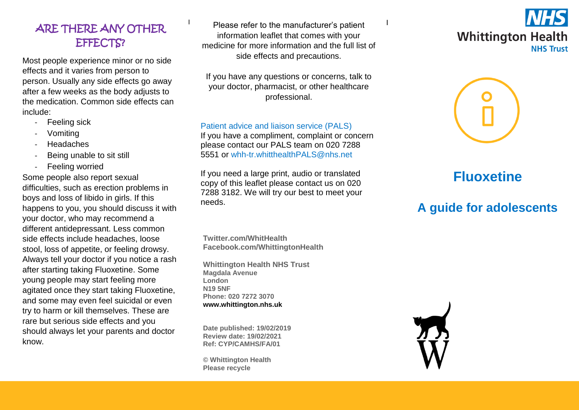### ARE THERE ANY OTHER EFFECTS?

Most people experience minor or no side effects and it varies from person to person. Usually any side effects go away after a few weeks as the body adjusts to the medication. Common side effects can include:

- Feeling sick
- **Vomiting**
- **Headaches**
- Being unable to sit still
- Feeling worried

Some people also report sexual difficulties, such as erection problems in boys and loss of libido in girls. If this happens to you, you should discuss it with your doctor, who may recommend a different antidepressant. Less common side effects include headaches, loose stool, loss of appetite, or feeling drowsy. Always tell your doctor if you notice a rash after starting taking Fluoxetine. Some young people may start feeling more agitated once they start taking Fluoxetine, and some may even feel suicidal or even try to harm or kill themselves. These are rare but serious side effects and you should always let your parents and doctor know.

Please refer to the manufacturer's patient information leaflet that comes with your medicine for more information and the full list of side effects and precautions.

If you have any questions or concerns, talk to your doctor, pharmacist, or other healthcare professional.

Patient advice and liaison service (PALS)

If you have a compliment, complaint or concern please contact our PALS team on 020 7288 5551 or [whh-tr.whitthealthPALS@nhs.net](mailto:whh-tr.whitthealthPALS@nhs.net)

If you need a large print, audio or translated copy of this leaflet please contact us on 020 7288 3182. We will try our best to meet your needs.

**Twitter.com/WhitHealth Facebook.com/WhittingtonHealth**

**Whittington Health NHS Trust Magdala Avenue London N19 5NF Phone: 020 7272 3070 [www.whittington.nhs.uk](http://www.whittington.nhs.uk/)**

**Date published: 19/02/2019 Review date: 19/02/2021 Ref: CYP/CAMHS/FA/01**

**© Whittington Health Please recycle**





# **Fluoxetine**

# **A guide for adolescents**